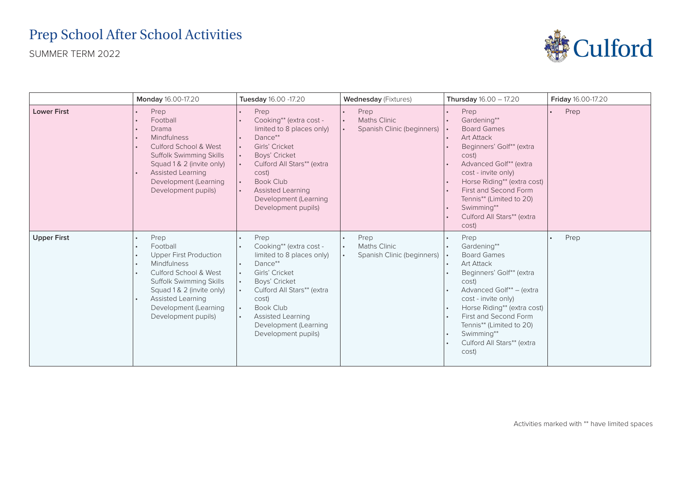## Prep School After School Activities

SUMMER TERM 2022



|                    | Monday 16.00-17.20                                                                                                                                                                                                                   | Tuesday 16.00 -17.20                                                                                                                                                                                                                                           | <b>Wednesday</b> (Fixtures)                               | <b>Thursday</b> $16.00 - 17.20$                                                                                                                                                                                                                                                                 | <b>Friday</b> 16.00-17.20 |
|--------------------|--------------------------------------------------------------------------------------------------------------------------------------------------------------------------------------------------------------------------------------|----------------------------------------------------------------------------------------------------------------------------------------------------------------------------------------------------------------------------------------------------------------|-----------------------------------------------------------|-------------------------------------------------------------------------------------------------------------------------------------------------------------------------------------------------------------------------------------------------------------------------------------------------|---------------------------|
| <b>Lower First</b> | Prep<br>Football<br>Drama<br>Mindfulness<br>Culford School & West<br><b>Suffolk Swimming Skills</b><br>Squad 1 & 2 (invite only)<br>Assisted Learning<br>Development (Learning<br>Development pupils)                                | Prep<br>Cooking** (extra cost -<br>limited to 8 places only)<br>Dance**<br>Girls' Cricket<br>$\bullet$<br>Boys' Cricket<br>Culford All Stars** (extra<br>cost)<br><b>Book Club</b><br><b>Assisted Learning</b><br>Development (Learning<br>Development pupils) | Prep<br><b>Maths Clinic</b><br>Spanish Clinic (beginners) | Prep<br>Gardening**<br><b>Board Games</b><br><b>Art Attack</b><br>Beginners' Golf** (extra<br>cost)<br>Advanced Golf** (extra<br>cost - invite only)<br>Horse Riding** (extra cost)<br>First and Second Form<br>Tennis** (Limited to 20)<br>Swimming**<br>Culford All Stars** (extra<br>cost)   | Prep                      |
| <b>Upper First</b> | Prep<br>Football<br><b>Upper First Production</b><br>Mindfulness<br>Culford School & West<br><b>Suffolk Swimming Skills</b><br>Squad 1 & 2 (invite only)<br><b>Assisted Learning</b><br>Development (Learning<br>Development pupils) | Prep<br>Cooking** (extra cost -<br>limited to 8 places only)<br>Dance**<br>Girls' Cricket<br>$\bullet$<br>Boys' Cricket<br>Culford All Stars** (extra<br>cost)<br><b>Book Club</b><br><b>Assisted Learning</b><br>Development (Learning<br>Development pupils) | Prep<br><b>Maths Clinic</b><br>Spanish Clinic (beginners) | Prep<br>Gardening**<br><b>Board Games</b><br><b>Art Attack</b><br>Beginners' Golf** (extra<br>cost)<br>Advanced Golf** - (extra<br>cost - invite only)<br>Horse Riding** (extra cost)<br>First and Second Form<br>Tennis** (Limited to 20)<br>Swimming**<br>Culford All Stars** (extra<br>cost) | Prep                      |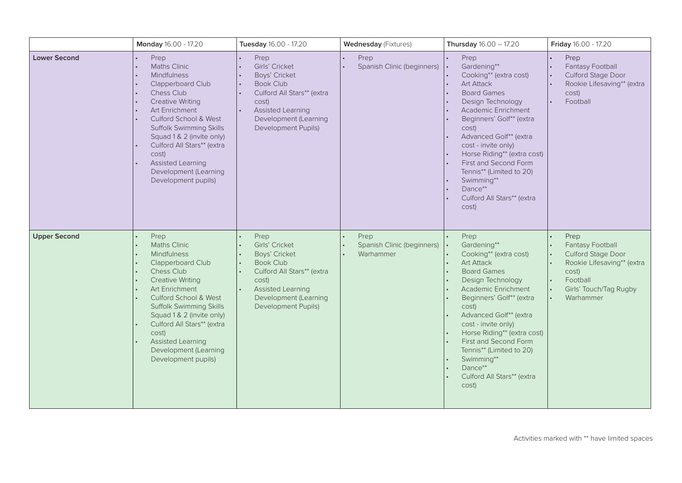|                     | Monday 16.00 - 17.20                                                                                                                                                                                                                                                                                                    | Tuesday 16.00 - 17.20                                                                                                                                                          | <b>Wednesday (Fixtures)</b>                     | <b>Thursday</b> $16.00 - 17.20$                                                                                                                                                                                                                                                                                                                                                                                                                       | Friday 16.00 - 17.20                                                                                                                                  |
|---------------------|-------------------------------------------------------------------------------------------------------------------------------------------------------------------------------------------------------------------------------------------------------------------------------------------------------------------------|--------------------------------------------------------------------------------------------------------------------------------------------------------------------------------|-------------------------------------------------|-------------------------------------------------------------------------------------------------------------------------------------------------------------------------------------------------------------------------------------------------------------------------------------------------------------------------------------------------------------------------------------------------------------------------------------------------------|-------------------------------------------------------------------------------------------------------------------------------------------------------|
| <b>Lower Second</b> | Prep<br><b>Maths Clinic</b><br>Mindfulness<br>Clapperboard Club<br>Chess Club<br>Creative Writing<br>Art Enrichment<br>Culford School & West<br>Suffolk Swimming Skills<br>Squad 1 & 2 (invite only)<br>Culford All Stars** (extra<br>cost)<br><b>Assisted Learning</b><br>Development (Learning<br>Development pupils) | Prep<br>Girls' Cricket<br>Boys' Cricket<br><b>Book Club</b><br>Culford All Stars** (extra<br>cost)<br><b>Assisted Learning</b><br>Development (Learning<br>Development Pupils) | Prep<br>Spanish Clinic (beginners)              | Prep<br>Gardening**<br>$\cdot$<br>Cooking** (extra cost)<br><b>Art Attack</b><br><b>Board Games</b><br>$\bullet$<br>Design Technology<br>$\bullet$<br>Academic Enrichment<br>Beginners' Golf** (extra<br>cost)<br>Advanced Golf** (extra<br>cost - invite only)<br>Horse Riding** (extra cost)<br>First and Second Form<br>Tennis** (Limited to 20)<br>Swimming**<br>Dance**<br>Culford All Stars** (extra<br>cost)                                   | Prep<br>Fantasy Football<br>Culford Stage Door<br>Rookie Lifesaving** (extra<br>cost)<br>Football                                                     |
| <b>Upper Second</b> | Prep<br><b>Maths Clinic</b><br>Mindfulness<br>Clapperboard Club<br>Chess Club<br><b>Creative Writing</b><br>Art Enrichment<br>Culford School & West<br>Suffolk Swimming Skills<br>Squad 1 & 2 (invite only)<br>Culford All Stars** (extra<br>cost)<br>Assisted Learning<br>Development (Learning<br>Development pupils) | Prep<br>Girls' Cricket<br>Boys' Cricket<br><b>Book Club</b><br>Culford All Stars** (extra<br>cost)<br><b>Assisted Learning</b><br>Development (Learning<br>Development Pupils) | Prep<br>Spanish Clinic (beginners)<br>Warhammer | Prep<br>$\bullet$<br>Gardening**<br>٠.<br>Cooking** (extra cost)<br>$\bullet$<br><b>Art Attack</b><br>$\bullet$<br><b>Board Games</b><br>$\bullet$<br>Design Technology<br>$\bullet$<br>Academic Enrichment<br>Beginners' Golf** (extra<br>cost)<br>Advanced Golf** (extra<br>cost - invite only)<br>Horse Riding** (extra cost)<br>First and Second Form<br>Tennis** (Limited to 20)<br>Swimming**<br>Dance**<br>Culford All Stars** (extra<br>cost) | Prep<br>Fantasy Football<br>Culford Stage Door<br>Rookie Lifesaving** (extra<br>cost)<br>Football<br>Girls' Touch/Tag Rugby<br>$\bullet$<br>Warhammer |